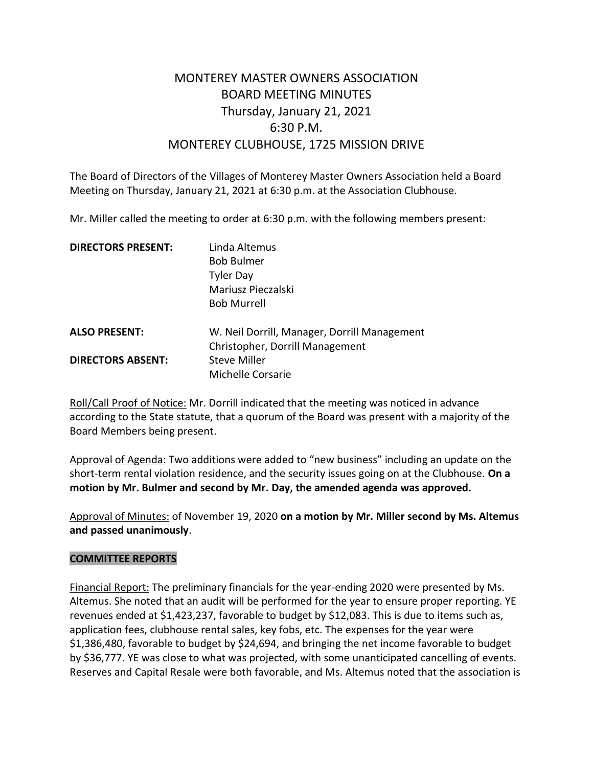# MONTEREY MASTER OWNERS ASSOCIATION BOARD MEETING MINUTES Thursday, January 21, 2021 6:30 P.M. MONTEREY CLUBHOUSE, 1725 MISSION DRIVE

The Board of Directors of the Villages of Monterey Master Owners Association held a Board Meeting on Thursday, January 21, 2021 at 6:30 p.m. at the Association Clubhouse.

Mr. Miller called the meeting to order at 6:30 p.m. with the following members present:

| <b>DIRECTORS PRESENT:</b> | Linda Altemus                                |
|---------------------------|----------------------------------------------|
|                           | <b>Bob Bulmer</b>                            |
|                           | <b>Tyler Day</b>                             |
|                           | Mariusz Pieczalski                           |
|                           | <b>Bob Murrell</b>                           |
| <b>ALSO PRESENT:</b>      | W. Neil Dorrill, Manager, Dorrill Management |
|                           | Christopher, Dorrill Management              |
| <b>DIRECTORS ABSENT:</b>  | <b>Steve Miller</b>                          |
|                           | Michelle Corsarie                            |

Roll/Call Proof of Notice: Mr. Dorrill indicated that the meeting was noticed in advance according to the State statute, that a quorum of the Board was present with a majority of the Board Members being present.

Approval of Agenda: Two additions were added to "new business" including an update on the short-term rental violation residence, and the security issues going on at the Clubhouse. **On a motion by Mr. Bulmer and second by Mr. Day, the amended agenda was approved.** 

Approval of Minutes: of November 19, 2020 **on a motion by Mr. Miller second by Ms. Altemus and passed unanimously**.

#### **COMMITTEE REPORTS**

Financial Report: The preliminary financials for the year-ending 2020 were presented by Ms. Altemus. She noted that an audit will be performed for the year to ensure proper reporting. YE revenues ended at \$1,423,237, favorable to budget by \$12,083. This is due to items such as, application fees, clubhouse rental sales, key fobs, etc. The expenses for the year were \$1,386,480, favorable to budget by \$24,694, and bringing the net income favorable to budget by \$36,777. YE was close to what was projected, with some unanticipated cancelling of events. Reserves and Capital Resale were both favorable, and Ms. Altemus noted that the association is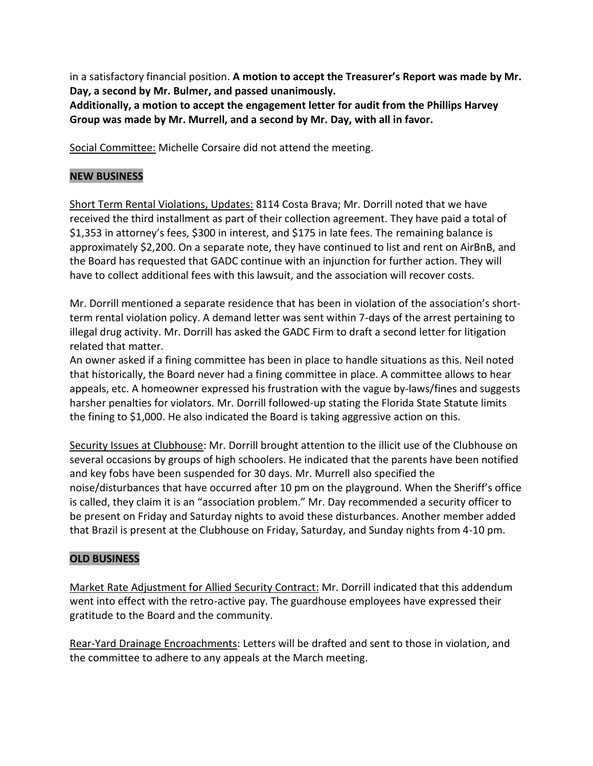in a satisfactory financial position. **A motion to accept the Treasurer's Report was made by Mr. Day, a second by Mr. Bulmer, and passed unanimously.**

**Additionally, a motion to accept the engagement letter for audit from the Phillips Harvey Group was made by Mr. Murrell, and a second by Mr. Day, with all in favor.**

Social Committee: Michelle Corsaire did not attend the meeting.

### **NEW BUSINESS**

Short Term Rental Violations, Updates: 8114 Costa Brava; Mr. Dorrill noted that we have received the third installment as part of their collection agreement. They have paid a total of \$1,353 in attorney's fees, \$300 in interest, and \$175 in late fees. The remaining balance is approximately \$2,200. On a separate note, they have continued to list and rent on AirBnB, and the Board has requested that GADC continue with an injunction for further action. They will have to collect additional fees with this lawsuit, and the association will recover costs.

Mr. Dorrill mentioned a separate residence that has been in violation of the association's shortterm rental violation policy. A demand letter was sent within 7-days of the arrest pertaining to illegal drug activity. Mr. Dorrill has asked the GADC Firm to draft a second letter for litigation related that matter.

An owner asked if a fining committee has been in place to handle situations as this. Neil noted that historically, the Board never had a fining committee in place. A committee allows to hear appeals, etc. A homeowner expressed his frustration with the vague by-laws/fines and suggests harsher penalties for violators. Mr. Dorrill followed-up stating the Florida State Statute limits the fining to \$1,000. He also indicated the Board is taking aggressive action on this.

Security Issues at Clubhouse: Mr. Dorrill brought attention to the illicit use of the Clubhouse on several occasions by groups of high schoolers. He indicated that the parents have been notified and key fobs have been suspended for 30 days. Mr. Murrell also specified the noise/disturbances that have occurred after 10 pm on the playground. When the Sheriff's office is called, they claim it is an "association problem." Mr. Day recommended a security officer to be present on Friday and Saturday nights to avoid these disturbances. Another member added that Brazil is present at the Clubhouse on Friday, Saturday, and Sunday nights from 4-10 pm.

#### **OLD BUSINESS**

Market Rate Adjustment for Allied Security Contract: Mr. Dorrill indicated that this addendum went into effect with the retro-active pay. The guardhouse employees have expressed their gratitude to the Board and the community.

Rear-Yard Drainage Encroachments: Letters will be drafted and sent to those in violation, and the committee to adhere to any appeals at the March meeting.